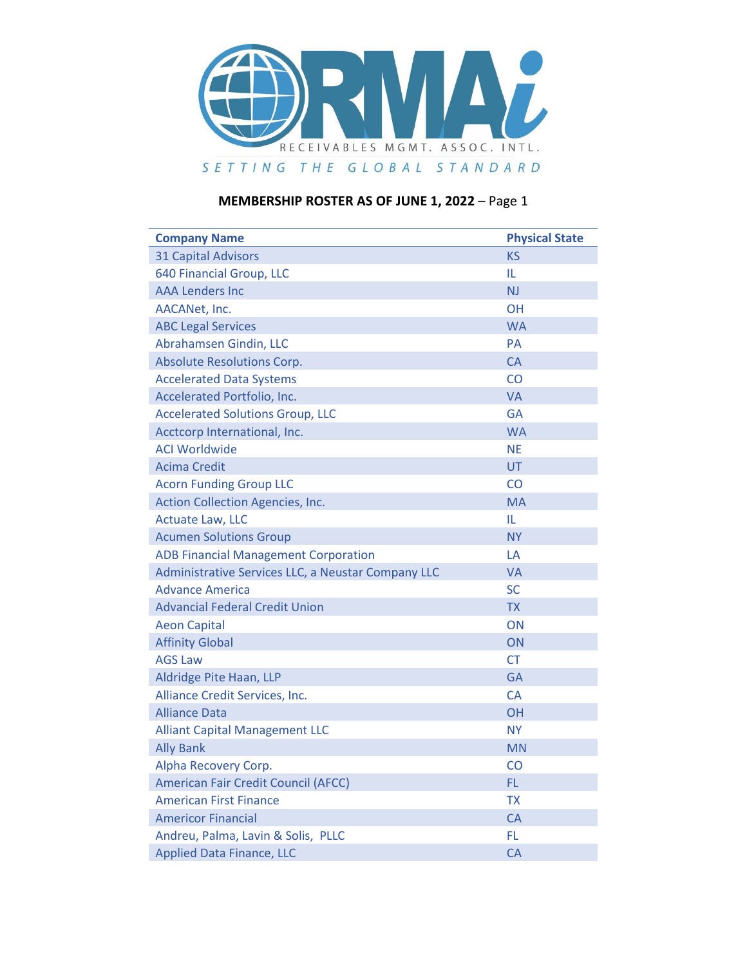

| <b>Company Name</b>                                | <b>Physical State</b> |
|----------------------------------------------------|-----------------------|
| <b>31 Capital Advisors</b>                         | <b>KS</b>             |
| 640 Financial Group, LLC                           | IL                    |
| <b>AAA Lenders Inc</b>                             | <b>NJ</b>             |
| AACANet, Inc.                                      | OΗ                    |
| <b>ABC Legal Services</b>                          | <b>WA</b>             |
| Abrahamsen Gindin, LLC                             | PA                    |
| <b>Absolute Resolutions Corp.</b>                  | <b>CA</b>             |
| <b>Accelerated Data Systems</b>                    | CO                    |
| Accelerated Portfolio, Inc.                        | <b>VA</b>             |
| <b>Accelerated Solutions Group, LLC</b>            | GA                    |
| Acctcorp International, Inc.                       | <b>WA</b>             |
| <b>ACI Worldwide</b>                               | <b>NE</b>             |
| <b>Acima Credit</b>                                | <b>UT</b>             |
| <b>Acorn Funding Group LLC</b>                     | CO                    |
| Action Collection Agencies, Inc.                   | <b>MA</b>             |
| <b>Actuate Law, LLC</b>                            | IL                    |
| <b>Acumen Solutions Group</b>                      | <b>NY</b>             |
| <b>ADB Financial Management Corporation</b>        | LA                    |
| Administrative Services LLC, a Neustar Company LLC | VA                    |
| <b>Advance America</b>                             | SC                    |
| <b>Advancial Federal Credit Union</b>              | <b>TX</b>             |
| <b>Aeon Capital</b>                                | ON                    |
| <b>Affinity Global</b>                             | ON                    |
| <b>AGS Law</b>                                     | СT                    |
| Aldridge Pite Haan, LLP                            | GA                    |
| Alliance Credit Services, Inc.                     | <b>CA</b>             |
| <b>Alliance Data</b>                               | <b>OH</b>             |
| <b>Alliant Capital Management LLC</b>              | NY.                   |
| <b>Ally Bank</b>                                   | <b>MN</b>             |
| Alpha Recovery Corp.                               | CO                    |
| <b>American Fair Credit Council (AFCC)</b>         | FL.                   |
| <b>American First Finance</b>                      | <b>TX</b>             |
| <b>Americor Financial</b>                          | <b>CA</b>             |
| Andreu, Palma, Lavin & Solis, PLLC                 | FL.                   |
| <b>Applied Data Finance, LLC</b>                   | <b>CA</b>             |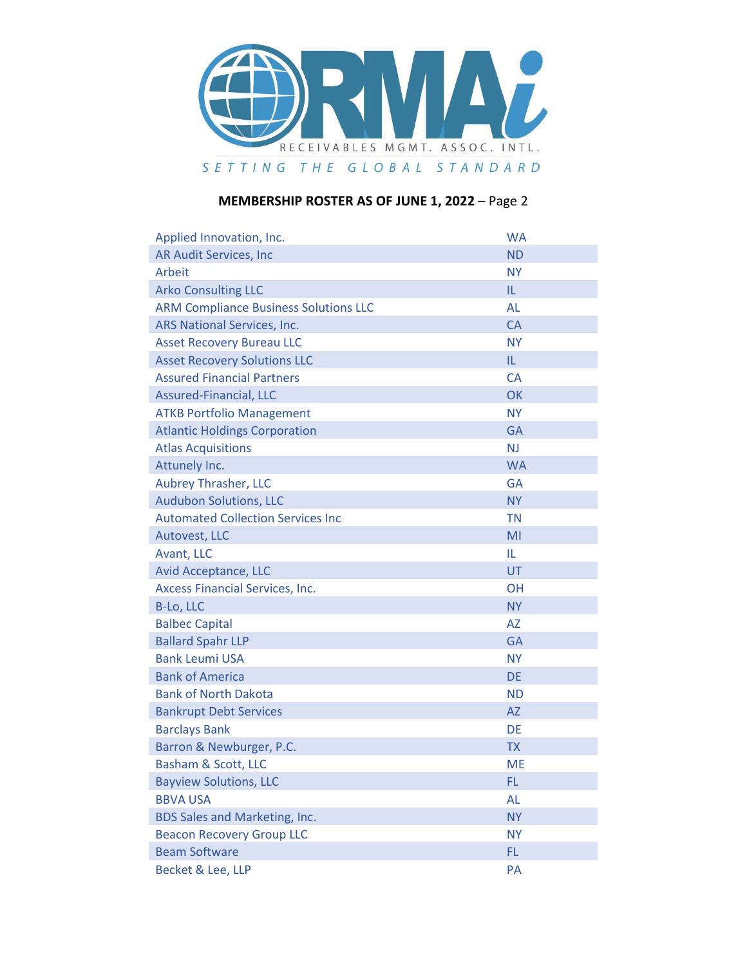

| Applied Innovation, Inc.                     | <b>WA</b> |
|----------------------------------------------|-----------|
| <b>AR Audit Services, Inc</b>                | <b>ND</b> |
| Arbeit                                       | <b>NY</b> |
| <b>Arko Consulting LLC</b>                   | IL.       |
| <b>ARM Compliance Business Solutions LLC</b> | <b>AL</b> |
| ARS National Services, Inc.                  | <b>CA</b> |
| <b>Asset Recovery Bureau LLC</b>             | <b>NY</b> |
| <b>Asset Recovery Solutions LLC</b>          | IL.       |
| <b>Assured Financial Partners</b>            | <b>CA</b> |
| <b>Assured-Financial, LLC</b>                | <b>OK</b> |
| <b>ATKB Portfolio Management</b>             | <b>NY</b> |
| <b>Atlantic Holdings Corporation</b>         | <b>GA</b> |
| <b>Atlas Acquisitions</b>                    | <b>NJ</b> |
| Attunely Inc.                                | <b>WA</b> |
| <b>Aubrey Thrasher, LLC</b>                  | <b>GA</b> |
| <b>Audubon Solutions, LLC</b>                | <b>NY</b> |
| <b>Automated Collection Services Inc</b>     | <b>TN</b> |
| Autovest, LLC                                | MI        |
| Avant, LLC                                   | IL        |
| Avid Acceptance, LLC                         | <b>UT</b> |
| Axcess Financial Services, Inc.              | <b>OH</b> |
| B-Lo, LLC                                    | <b>NY</b> |
| <b>Balbec Capital</b>                        | <b>AZ</b> |
| <b>Ballard Spahr LLP</b>                     | <b>GA</b> |
| <b>Bank Leumi USA</b>                        | <b>NY</b> |
| <b>Bank of America</b>                       | <b>DE</b> |
| <b>Bank of North Dakota</b>                  | <b>ND</b> |
| <b>Bankrupt Debt Services</b>                | <b>AZ</b> |
| <b>Barclays Bank</b>                         | DE        |
| Barron & Newburger, P.C.                     | <b>TX</b> |
| Basham & Scott, LLC                          | <b>ME</b> |
| <b>Bayview Solutions, LLC</b>                | FL.       |
| <b>BBVA USA</b>                              | <b>AL</b> |
| BDS Sales and Marketing, Inc.                | <b>NY</b> |
| <b>Beacon Recovery Group LLC</b>             | <b>NY</b> |
| <b>Beam Software</b>                         | FL.       |
| Becket & Lee, LLP                            | PA        |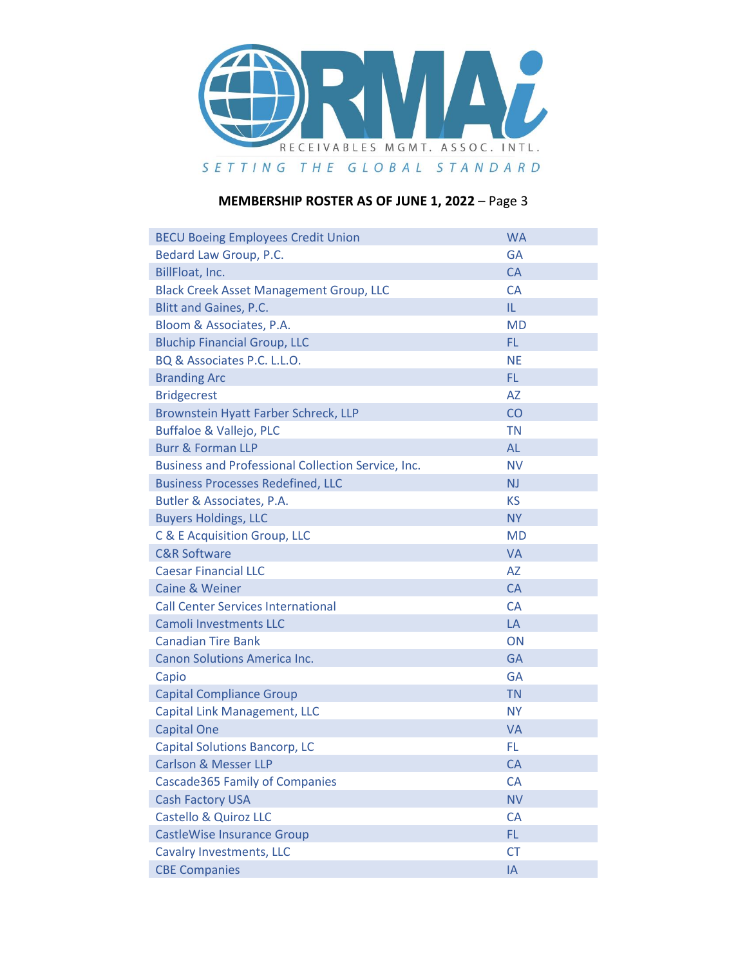

| <b>BECU Boeing Employees Credit Union</b>                 | <b>WA</b>      |
|-----------------------------------------------------------|----------------|
| Bedard Law Group, P.C.                                    | <b>GA</b>      |
| BillFloat, Inc.                                           | <b>CA</b>      |
| <b>Black Creek Asset Management Group, LLC</b>            | CA             |
| <b>Blitt and Gaines, P.C.</b>                             | IL.            |
| Bloom & Associates, P.A.                                  | <b>MD</b>      |
| <b>Bluchip Financial Group, LLC</b>                       | FL.            |
| BQ & Associates P.C. L.L.O.                               | <b>NE</b>      |
| <b>Branding Arc</b>                                       | FL.            |
| <b>Bridgecrest</b>                                        | <b>AZ</b>      |
| Brownstein Hyatt Farber Schreck, LLP                      | CO             |
| Buffaloe & Vallejo, PLC                                   | <b>TN</b>      |
| <b>Burr &amp; Forman LLP</b>                              | <b>AL</b>      |
| <b>Business and Professional Collection Service, Inc.</b> | <b>NV</b>      |
| <b>Business Processes Redefined, LLC</b>                  | N <sub>J</sub> |
| Butler & Associates, P.A.                                 | <b>KS</b>      |
| <b>Buyers Holdings, LLC</b>                               | <b>NY</b>      |
| C & E Acquisition Group, LLC                              | <b>MD</b>      |
| <b>C&amp;R Software</b>                                   | <b>VA</b>      |
| <b>Caesar Financial LLC</b>                               | <b>AZ</b>      |
| <b>Caine &amp; Weiner</b>                                 | <b>CA</b>      |
| <b>Call Center Services International</b>                 | <b>CA</b>      |
| <b>Camoli Investments LLC</b>                             | LA             |
| <b>Canadian Tire Bank</b>                                 | ON             |
| <b>Canon Solutions America Inc.</b>                       | <b>GA</b>      |
| Capio                                                     | <b>GA</b>      |
| <b>Capital Compliance Group</b>                           | <b>TN</b>      |
| Capital Link Management, LLC                              | <b>NY</b>      |
| <b>Capital One</b>                                        | <b>VA</b>      |
| <b>Capital Solutions Bancorp, LC</b>                      | FL.            |
| <b>Carlson &amp; Messer LLP</b>                           | <b>CA</b>      |
| Cascade365 Family of Companies                            | <b>CA</b>      |
| <b>Cash Factory USA</b>                                   | <b>NV</b>      |
| <b>Castello &amp; Quiroz LLC</b>                          | CA             |
| <b>CastleWise Insurance Group</b>                         | FL.            |
| <b>Cavalry Investments, LLC</b>                           | <b>CT</b>      |
| <b>CBE Companies</b>                                      | IA             |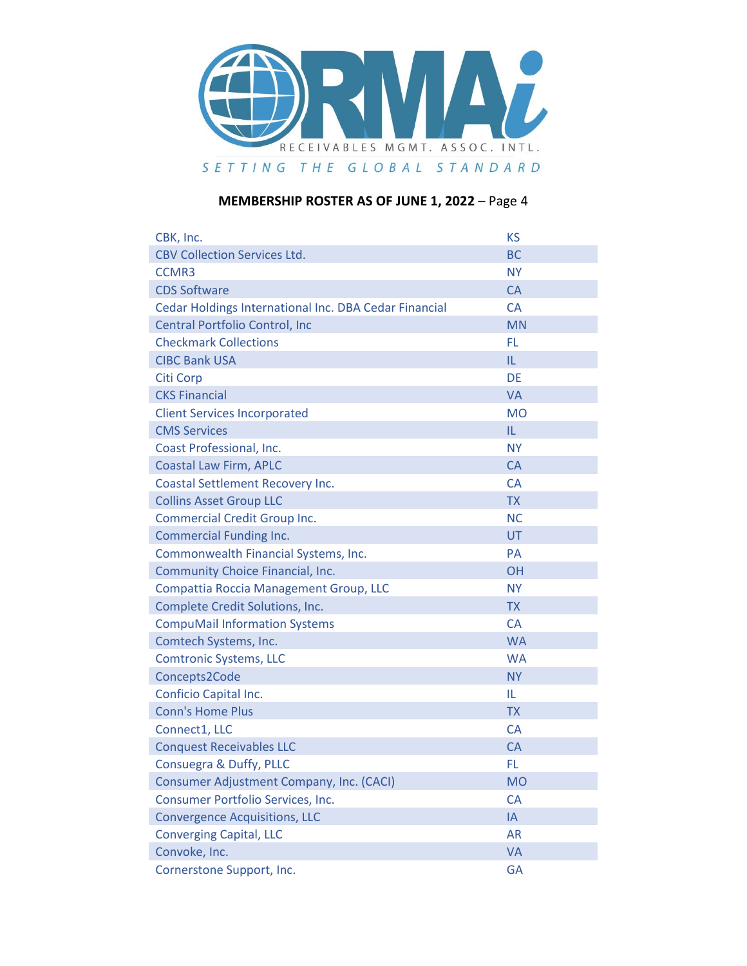

| CBK, Inc.                                             | <b>KS</b> |
|-------------------------------------------------------|-----------|
| <b>CBV Collection Services Ltd.</b>                   | <b>BC</b> |
| <b>CCMR3</b>                                          | <b>NY</b> |
| <b>CDS Software</b>                                   | <b>CA</b> |
| Cedar Holdings International Inc. DBA Cedar Financial | <b>CA</b> |
| Central Portfolio Control, Inc                        | <b>MN</b> |
| <b>Checkmark Collections</b>                          | FL.       |
| <b>CIBC Bank USA</b>                                  | IL.       |
| <b>Citi Corp</b>                                      | <b>DE</b> |
| <b>CKS Financial</b>                                  | <b>VA</b> |
| <b>Client Services Incorporated</b>                   | <b>MO</b> |
| <b>CMS Services</b>                                   | IL.       |
| Coast Professional, Inc.                              | <b>NY</b> |
| <b>Coastal Law Firm, APLC</b>                         | <b>CA</b> |
| Coastal Settlement Recovery Inc.                      | <b>CA</b> |
| <b>Collins Asset Group LLC</b>                        | <b>TX</b> |
| <b>Commercial Credit Group Inc.</b>                   | <b>NC</b> |
| <b>Commercial Funding Inc.</b>                        | UT        |
| Commonwealth Financial Systems, Inc.                  | <b>PA</b> |
| Community Choice Financial, Inc.                      | <b>OH</b> |
| Compattia Roccia Management Group, LLC                | <b>NY</b> |
| Complete Credit Solutions, Inc.                       | <b>TX</b> |
| <b>CompuMail Information Systems</b>                  | <b>CA</b> |
| Comtech Systems, Inc.                                 | <b>WA</b> |
| <b>Comtronic Systems, LLC</b>                         | <b>WA</b> |
| Concepts2Code                                         | <b>NY</b> |
| <b>Conficio Capital Inc.</b>                          | IL        |
| <b>Conn's Home Plus</b>                               | <b>TX</b> |
| Connect1, LLC                                         | <b>CA</b> |
| <b>Conquest Receivables LLC</b>                       | <b>CA</b> |
| Consuegra & Duffy, PLLC                               | FL        |
| <b>Consumer Adjustment Company, Inc. (CACI)</b>       | <b>MO</b> |
| Consumer Portfolio Services, Inc.                     | CA        |
| <b>Convergence Acquisitions, LLC</b>                  | IA        |
| <b>Converging Capital, LLC</b>                        | <b>AR</b> |
| Convoke, Inc.                                         | <b>VA</b> |
| Cornerstone Support, Inc.                             | <b>GA</b> |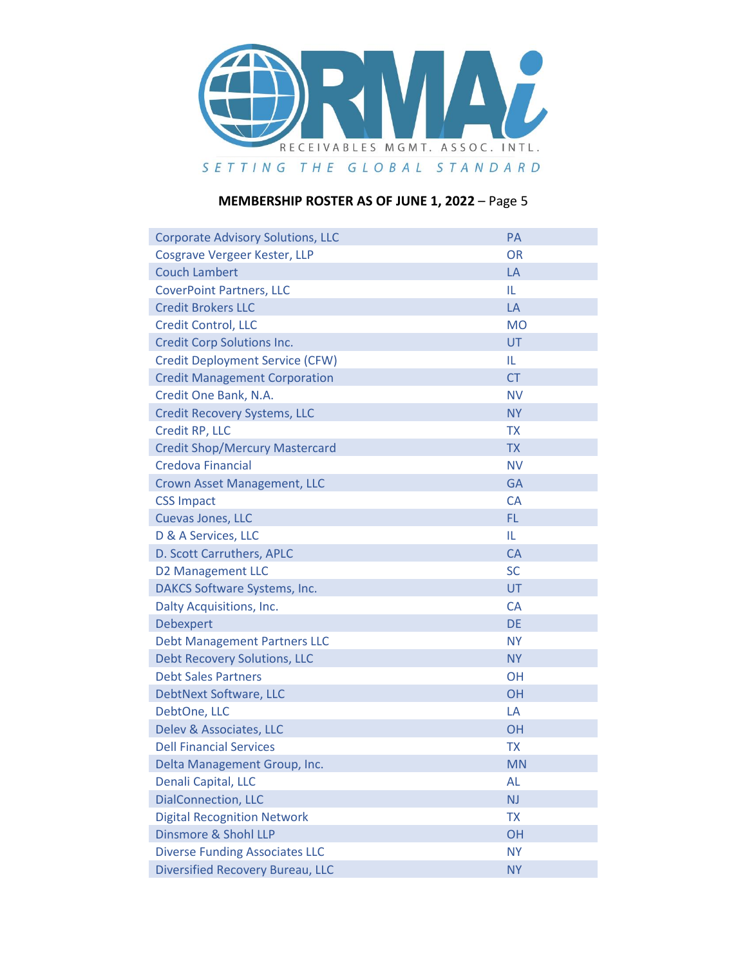

| <b>Corporate Advisory Solutions, LLC</b> | PA        |
|------------------------------------------|-----------|
| Cosgrave Vergeer Kester, LLP             | <b>OR</b> |
| <b>Couch Lambert</b>                     | LA        |
| <b>CoverPoint Partners, LLC</b>          | IL.       |
| <b>Credit Brokers LLC</b>                | LA        |
| <b>Credit Control, LLC</b>               | <b>MO</b> |
| <b>Credit Corp Solutions Inc.</b>        | <b>UT</b> |
| <b>Credit Deployment Service (CFW)</b>   | IL        |
| <b>Credit Management Corporation</b>     | <b>CT</b> |
| Credit One Bank, N.A.                    | <b>NV</b> |
| <b>Credit Recovery Systems, LLC</b>      | <b>NY</b> |
| Credit RP, LLC                           | <b>TX</b> |
| <b>Credit Shop/Mercury Mastercard</b>    | <b>TX</b> |
| Credova Financial                        | <b>NV</b> |
| <b>Crown Asset Management, LLC</b>       | <b>GA</b> |
| <b>CSS Impact</b>                        | <b>CA</b> |
| Cuevas Jones, LLC                        | FL.       |
| D & A Services, LLC                      | IL.       |
| D. Scott Carruthers, APLC                | <b>CA</b> |
| <b>D2 Management LLC</b>                 | <b>SC</b> |
| DAKCS Software Systems, Inc.             | UT        |
| Dalty Acquisitions, Inc.                 | <b>CA</b> |
| Debexpert                                | <b>DE</b> |
| <b>Debt Management Partners LLC</b>      | <b>NY</b> |
| <b>Debt Recovery Solutions, LLC</b>      | <b>NY</b> |
| <b>Debt Sales Partners</b>               | <b>OH</b> |
| DebtNext Software, LLC                   | <b>OH</b> |
| DebtOne, LLC                             | LA        |
| Delev & Associates, LLC                  | <b>OH</b> |
| <b>Dell Financial Services</b>           | <b>TX</b> |
| Delta Management Group, Inc.             | <b>MN</b> |
| Denali Capital, LLC                      | AL        |
| <b>DialConnection, LLC</b>               | <b>NJ</b> |
| <b>Digital Recognition Network</b>       | <b>TX</b> |
| Dinsmore & Shohl LLP                     | OH        |
| <b>Diverse Funding Associates LLC</b>    | <b>NY</b> |
| <b>Diversified Recovery Bureau, LLC</b>  | <b>NY</b> |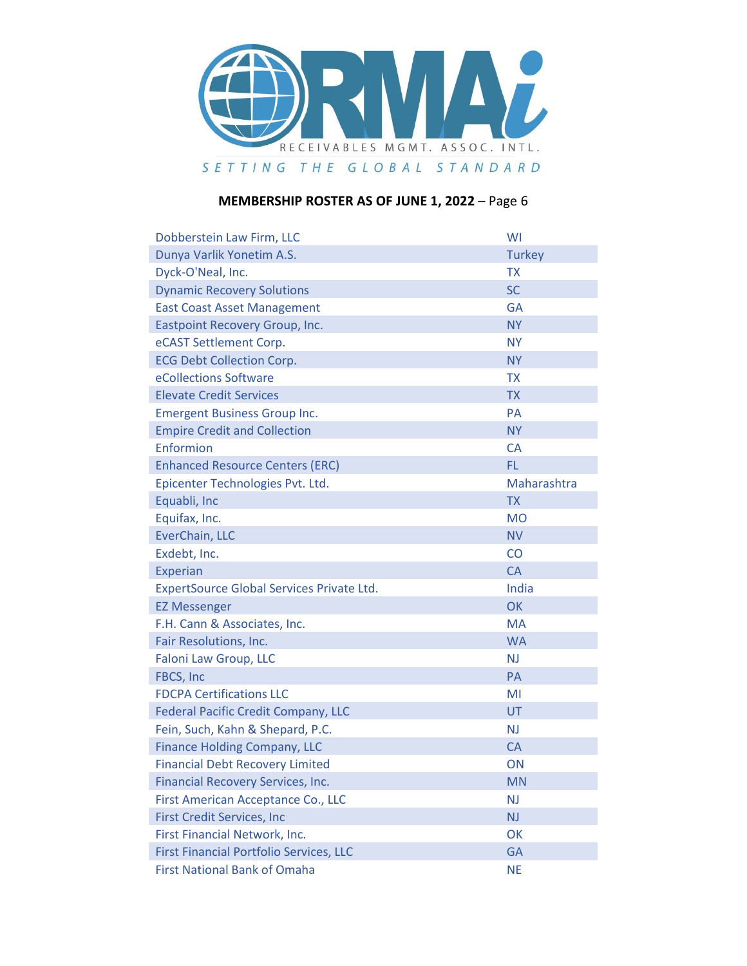

| Dobberstein Law Firm, LLC                      | WI             |
|------------------------------------------------|----------------|
| Dunya Varlik Yonetim A.S.                      | <b>Turkey</b>  |
| Dyck-O'Neal, Inc.                              | <b>TX</b>      |
| <b>Dynamic Recovery Solutions</b>              | <b>SC</b>      |
| <b>East Coast Asset Management</b>             | <b>GA</b>      |
| Eastpoint Recovery Group, Inc.                 | <b>NY</b>      |
| eCAST Settlement Corp.                         | <b>NY</b>      |
| <b>ECG Debt Collection Corp.</b>               | <b>NY</b>      |
| eCollections Software                          | <b>TX</b>      |
| <b>Elevate Credit Services</b>                 | <b>TX</b>      |
| <b>Emergent Business Group Inc.</b>            | <b>PA</b>      |
| <b>Empire Credit and Collection</b>            | <b>NY</b>      |
| Enformion                                      | <b>CA</b>      |
| <b>Enhanced Resource Centers (ERC)</b>         | FL.            |
| Epicenter Technologies Pvt. Ltd.               | Maharashtra    |
| Equabli, Inc                                   | <b>TX</b>      |
| Equifax, Inc.                                  | <b>MO</b>      |
| EverChain, LLC                                 | <b>NV</b>      |
| Exdebt, Inc.                                   | CO             |
| <b>Experian</b>                                | <b>CA</b>      |
| ExpertSource Global Services Private Ltd.      | India          |
| <b>EZ Messenger</b>                            | OK             |
| F.H. Cann & Associates, Inc.                   | <b>MA</b>      |
| Fair Resolutions, Inc.                         | <b>WA</b>      |
| Faloni Law Group, LLC                          | N <sub>J</sub> |
| FBCS, Inc                                      | PA             |
| <b>FDCPA Certifications LLC</b>                | MI             |
| <b>Federal Pacific Credit Company, LLC</b>     | UT             |
| Fein, Such, Kahn & Shepard, P.C.               | <b>NJ</b>      |
| <b>Finance Holding Company, LLC</b>            | <b>CA</b>      |
| <b>Financial Debt Recovery Limited</b>         | ON             |
| Financial Recovery Services, Inc.              | <b>MN</b>      |
| First American Acceptance Co., LLC             | NJ             |
| <b>First Credit Services, Inc</b>              | NJ             |
| First Financial Network, Inc.                  | OK             |
| <b>First Financial Portfolio Services, LLC</b> | <b>GA</b>      |
| <b>First National Bank of Omaha</b>            | <b>NE</b>      |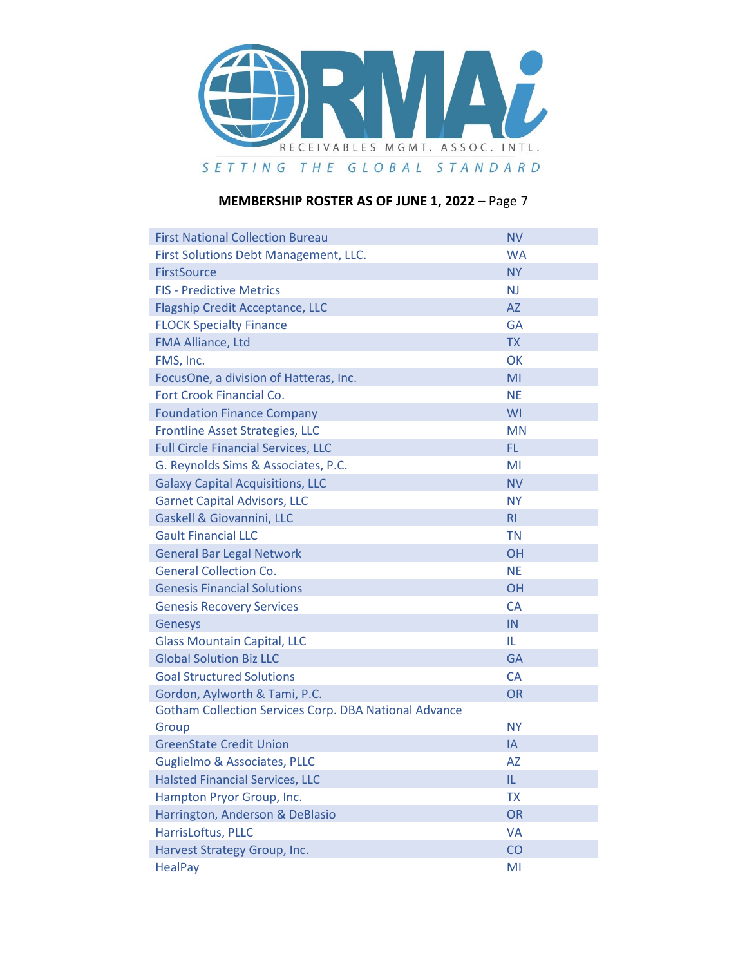

| <b>First National Collection Bureau</b>                      | <b>NV</b>      |
|--------------------------------------------------------------|----------------|
| First Solutions Debt Management, LLC.                        | <b>WA</b>      |
| <b>FirstSource</b>                                           | <b>NY</b>      |
| <b>FIS - Predictive Metrics</b>                              | <b>NJ</b>      |
| <b>Flagship Credit Acceptance, LLC</b>                       | AZ             |
| <b>FLOCK Specialty Finance</b>                               | GA             |
| FMA Alliance, Ltd                                            | <b>TX</b>      |
| FMS, Inc.                                                    | OK             |
| FocusOne, a division of Hatteras, Inc.                       | MI             |
| Fort Crook Financial Co.                                     | <b>NE</b>      |
| <b>Foundation Finance Company</b>                            | WI             |
| Frontline Asset Strategies, LLC                              | MN             |
| <b>Full Circle Financial Services, LLC</b>                   | FL.            |
| G. Reynolds Sims & Associates, P.C.                          | MI             |
| <b>Galaxy Capital Acquisitions, LLC</b>                      | <b>NV</b>      |
| <b>Garnet Capital Advisors, LLC</b>                          | <b>NY</b>      |
| Gaskell & Giovannini, LLC                                    | R <sub>l</sub> |
| <b>Gault Financial LLC</b>                                   | <b>TN</b>      |
| <b>General Bar Legal Network</b>                             | <b>OH</b>      |
| <b>General Collection Co.</b>                                | <b>NE</b>      |
| <b>Genesis Financial Solutions</b>                           | <b>OH</b>      |
| <b>Genesis Recovery Services</b>                             | <b>CA</b>      |
| Genesys                                                      | IN             |
| <b>Glass Mountain Capital, LLC</b>                           | IL.            |
| <b>Global Solution Biz LLC</b>                               | <b>GA</b>      |
| <b>Goal Structured Solutions</b>                             | <b>CA</b>      |
| Gordon, Aylworth & Tami, P.C.                                | <b>OR</b>      |
| <b>Gotham Collection Services Corp. DBA National Advance</b> |                |
| Group                                                        | <b>NY</b>      |
| <b>GreenState Credit Union</b>                               | IA             |
| <b>Guglielmo &amp; Associates, PLLC</b>                      | <b>AZ</b>      |
| <b>Halsted Financial Services, LLC</b>                       | IL.            |
| Hampton Pryor Group, Inc.                                    | <b>TX</b>      |
| Harrington, Anderson & DeBlasio                              | OR             |
| HarrisLoftus, PLLC                                           | <b>VA</b>      |
| Harvest Strategy Group, Inc.                                 | CO             |
| <b>HealPay</b>                                               | MI             |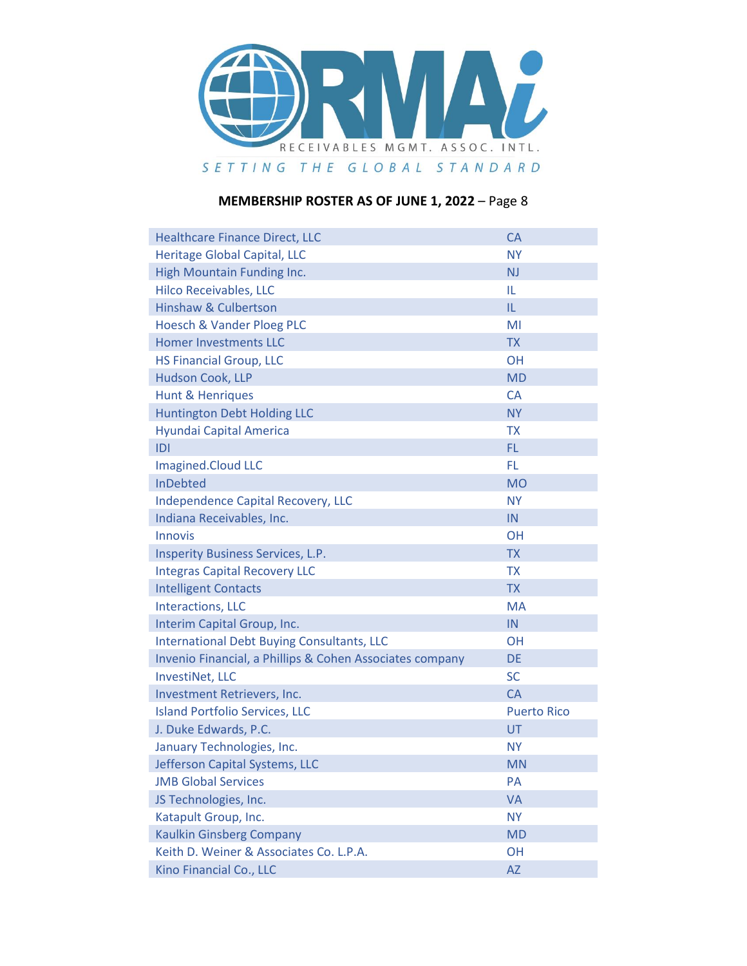

| <b>Healthcare Finance Direct, LLC</b>                    | <b>CA</b>          |
|----------------------------------------------------------|--------------------|
| <b>Heritage Global Capital, LLC</b>                      | <b>NY</b>          |
| <b>High Mountain Funding Inc.</b>                        | <b>NJ</b>          |
| <b>Hilco Receivables, LLC</b>                            | IL                 |
| <b>Hinshaw &amp; Culbertson</b>                          | IL                 |
| <b>Hoesch &amp; Vander Ploeg PLC</b>                     | MI                 |
| <b>Homer Investments LLC</b>                             | <b>TX</b>          |
| <b>HS Financial Group, LLC</b>                           | <b>OH</b>          |
| <b>Hudson Cook, LLP</b>                                  | <b>MD</b>          |
| <b>Hunt &amp; Henriques</b>                              | <b>CA</b>          |
| <b>Huntington Debt Holding LLC</b>                       | <b>NY</b>          |
| Hyundai Capital America                                  | <b>TX</b>          |
| D                                                        | FL.                |
| <b>Imagined.Cloud LLC</b>                                | <b>FL</b>          |
| <b>InDebted</b>                                          | <b>MO</b>          |
| <b>Independence Capital Recovery, LLC</b>                | <b>NY</b>          |
| Indiana Receivables, Inc.                                | IN                 |
| <b>Innovis</b>                                           | <b>OH</b>          |
| <b>Insperity Business Services, L.P.</b>                 | <b>TX</b>          |
| <b>Integras Capital Recovery LLC</b>                     | <b>TX</b>          |
| <b>Intelligent Contacts</b>                              | <b>TX</b>          |
| <b>Interactions, LLC</b>                                 | <b>MA</b>          |
| Interim Capital Group, Inc.                              | IN                 |
| <b>International Debt Buying Consultants, LLC</b>        | <b>OH</b>          |
| Invenio Financial, a Phillips & Cohen Associates company | <b>DE</b>          |
| InvestiNet, LLC                                          | <b>SC</b>          |
| Investment Retrievers, Inc.                              | <b>CA</b>          |
| <b>Island Portfolio Services, LLC</b>                    | <b>Puerto Rico</b> |
| J. Duke Edwards, P.C.                                    | UT                 |
| January Technologies, Inc.                               | <b>NY</b>          |
| Jefferson Capital Systems, LLC                           | <b>MN</b>          |
| <b>JMB Global Services</b>                               | PA                 |
| JS Technologies, Inc.                                    | <b>VA</b>          |
| Katapult Group, Inc.                                     | <b>NY</b>          |
| <b>Kaulkin Ginsberg Company</b>                          | <b>MD</b>          |
| Keith D. Weiner & Associates Co. L.P.A.                  | <b>OH</b>          |
| Kino Financial Co., LLC                                  | <b>AZ</b>          |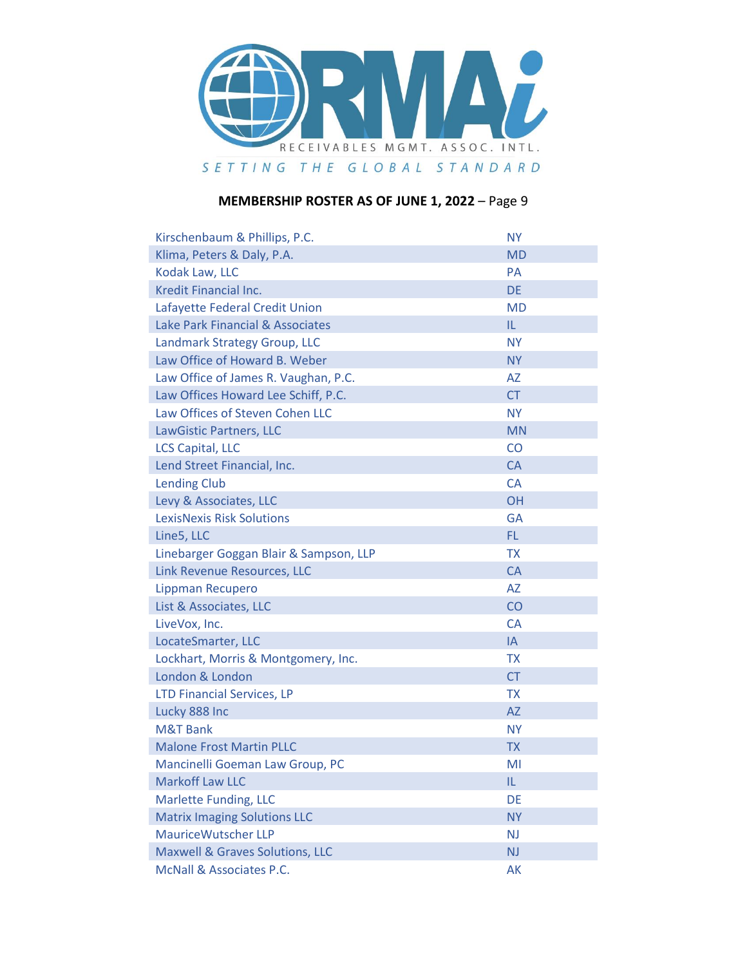

| Kirschenbaum & Phillips, P.C.               | <b>NY</b> |
|---------------------------------------------|-----------|
| Klima, Peters & Daly, P.A.                  | <b>MD</b> |
| Kodak Law, LLC                              | <b>PA</b> |
| <b>Kredit Financial Inc.</b>                | <b>DE</b> |
| Lafayette Federal Credit Union              | <b>MD</b> |
| <b>Lake Park Financial &amp; Associates</b> | IL.       |
| Landmark Strategy Group, LLC                | <b>NY</b> |
| Law Office of Howard B. Weber               | <b>NY</b> |
| Law Office of James R. Vaughan, P.C.        | <b>AZ</b> |
| Law Offices Howard Lee Schiff, P.C.         | <b>CT</b> |
| Law Offices of Steven Cohen LLC             | <b>NY</b> |
| LawGistic Partners, LLC                     | <b>MN</b> |
| <b>LCS Capital, LLC</b>                     | CO        |
| Lend Street Financial, Inc.                 | <b>CA</b> |
| <b>Lending Club</b>                         | <b>CA</b> |
| Levy & Associates, LLC                      | <b>OH</b> |
| <b>LexisNexis Risk Solutions</b>            | <b>GA</b> |
| Line5, LLC                                  | FL.       |
| Linebarger Goggan Blair & Sampson, LLP      | <b>TX</b> |
| Link Revenue Resources, LLC                 | <b>CA</b> |
| Lippman Recupero                            | <b>AZ</b> |
| List & Associates, LLC                      | CO        |
| LiveVox, Inc.                               | <b>CA</b> |
| LocateSmarter, LLC                          | IA        |
| Lockhart, Morris & Montgomery, Inc.         | <b>TX</b> |
| London & London                             | <b>CT</b> |
| <b>LTD Financial Services, LP</b>           | <b>TX</b> |
| Lucky 888 Inc                               | <b>AZ</b> |
| M&T Bank                                    | <b>NY</b> |
| <b>Malone Frost Martin PLLC</b>             | <b>TX</b> |
| Mancinelli Goeman Law Group, PC             | MI        |
| <b>Markoff Law LLC</b>                      | IL.       |
| <b>Marlette Funding, LLC</b>                | DE        |
| <b>Matrix Imaging Solutions LLC</b>         | <b>NY</b> |
| <b>MauriceWutscher LLP</b>                  | <b>NJ</b> |
| <b>Maxwell &amp; Graves Solutions, LLC</b>  | <b>NJ</b> |
| McNall & Associates P.C.                    | AK        |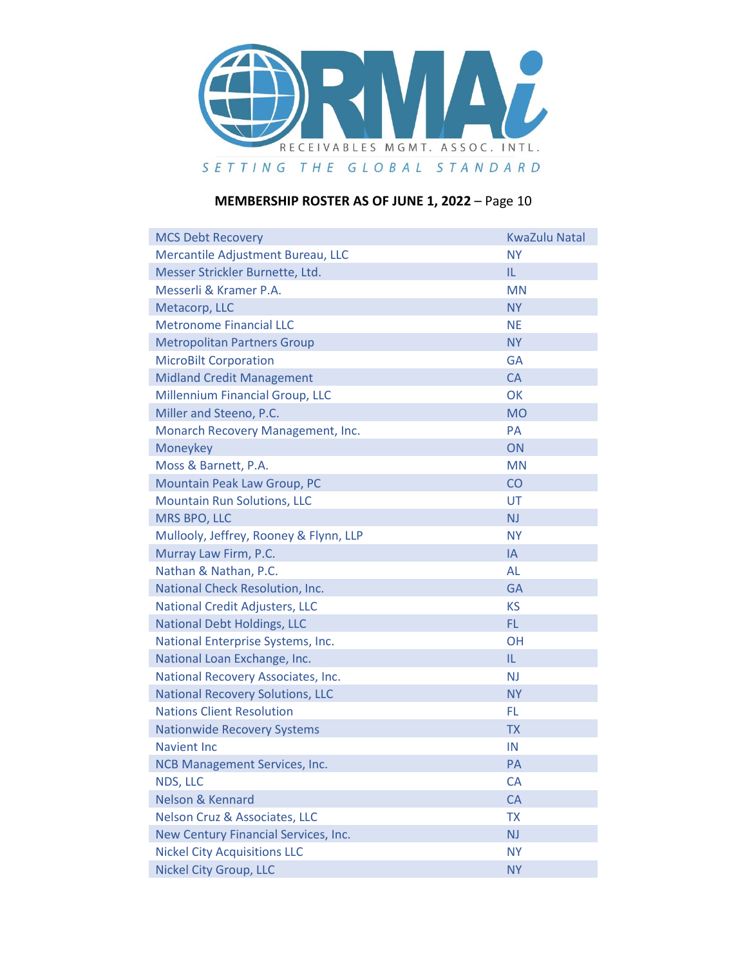

| <b>MCS Debt Recovery</b>                 | <b>KwaZulu Natal</b> |
|------------------------------------------|----------------------|
| Mercantile Adjustment Bureau, LLC        | <b>NY</b>            |
| Messer Strickler Burnette, Ltd.          | IL.                  |
| Messerli & Kramer P.A.                   | <b>MN</b>            |
| Metacorp, LLC                            | <b>NY</b>            |
| <b>Metronome Financial LLC</b>           | <b>NE</b>            |
| <b>Metropolitan Partners Group</b>       | <b>NY</b>            |
| <b>MicroBilt Corporation</b>             | <b>GA</b>            |
| <b>Midland Credit Management</b>         | <b>CA</b>            |
| <b>Millennium Financial Group, LLC</b>   | OK                   |
| Miller and Steeno, P.C.                  | <b>MO</b>            |
| Monarch Recovery Management, Inc.        | <b>PA</b>            |
| Moneykey                                 | ON                   |
| Moss & Barnett, P.A.                     | <b>MN</b>            |
| Mountain Peak Law Group, PC              | CO                   |
| <b>Mountain Run Solutions, LLC</b>       | UT                   |
| MRS BPO, LLC                             | <b>NJ</b>            |
| Mullooly, Jeffrey, Rooney & Flynn, LLP   | <b>NY</b>            |
| Murray Law Firm, P.C.                    | IA                   |
| Nathan & Nathan, P.C.                    | <b>AL</b>            |
| National Check Resolution, Inc.          | <b>GA</b>            |
| <b>National Credit Adjusters, LLC</b>    | <b>KS</b>            |
| <b>National Debt Holdings, LLC</b>       | FL.                  |
| National Enterprise Systems, Inc.        | <b>OH</b>            |
| National Loan Exchange, Inc.             | IL                   |
| National Recovery Associates, Inc.       | N <sub>J</sub>       |
| <b>National Recovery Solutions, LLC</b>  | <b>NY</b>            |
| <b>Nations Client Resolution</b>         | FL                   |
| <b>Nationwide Recovery Systems</b>       | <b>TX</b>            |
| Navient Inc.                             | IN                   |
| <b>NCB Management Services, Inc.</b>     | <b>PA</b>            |
| NDS, LLC                                 | <b>CA</b>            |
| <b>Nelson &amp; Kennard</b>              | <b>CA</b>            |
| <b>Nelson Cruz &amp; Associates, LLC</b> | <b>TX</b>            |
| New Century Financial Services, Inc.     | NJ                   |
| <b>Nickel City Acquisitions LLC</b>      | <b>NY</b>            |
| <b>Nickel City Group, LLC</b>            | <b>NY</b>            |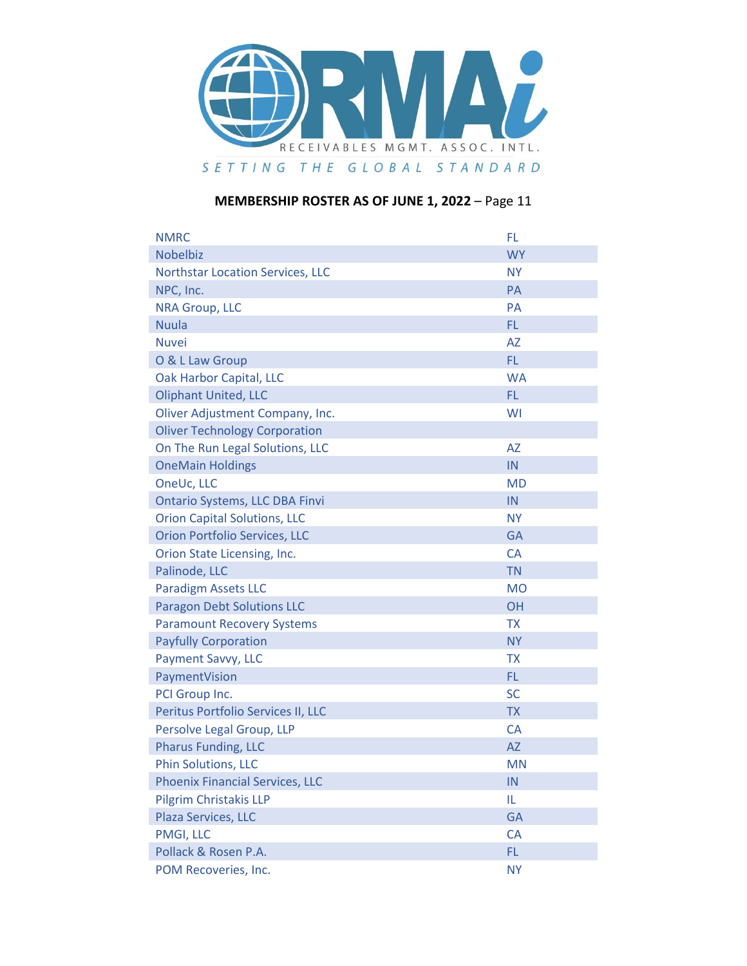

| <b>NMRC</b>                             | FL.       |
|-----------------------------------------|-----------|
| <b>Nobelbiz</b>                         | <b>WY</b> |
| <b>Northstar Location Services, LLC</b> | <b>NY</b> |
| NPC, Inc.                               | PA        |
| <b>NRA Group, LLC</b>                   | PA        |
| <b>Nuula</b>                            | FL.       |
| <b>Nuvei</b>                            | <b>AZ</b> |
| O & L Law Group                         | FL.       |
| Oak Harbor Capital, LLC                 | <b>WA</b> |
| <b>Oliphant United, LLC</b>             | FL.       |
| Oliver Adjustment Company, Inc.         | WI        |
| <b>Oliver Technology Corporation</b>    |           |
| On The Run Legal Solutions, LLC         | <b>AZ</b> |
| <b>OneMain Holdings</b>                 | IN        |
| OneUc, LLC                              | <b>MD</b> |
| <b>Ontario Systems, LLC DBA Finvi</b>   | IN        |
| <b>Orion Capital Solutions, LLC</b>     | <b>NY</b> |
| <b>Orion Portfolio Services, LLC</b>    | <b>GA</b> |
| Orion State Licensing, Inc.             | <b>CA</b> |
| Palinode, LLC                           | <b>TN</b> |
| <b>Paradigm Assets LLC</b>              | <b>MO</b> |
| <b>Paragon Debt Solutions LLC</b>       | OH        |
| <b>Paramount Recovery Systems</b>       | <b>TX</b> |
| <b>Payfully Corporation</b>             | <b>NY</b> |
| Payment Savvy, LLC                      | <b>TX</b> |
| PaymentVision                           | FL.       |
| PCI Group Inc.                          | <b>SC</b> |
| Peritus Portfolio Services II, LLC      | <b>TX</b> |
| Persolve Legal Group, LLP               | <b>CA</b> |
| <b>Pharus Funding, LLC</b>              | <b>AZ</b> |
| <b>Phin Solutions, LLC</b>              | <b>MN</b> |
| <b>Phoenix Financial Services, LLC</b>  | IN        |
| <b>Pilgrim Christakis LLP</b>           | IL.       |
| Plaza Services, LLC                     | <b>GA</b> |
| PMGI, LLC                               | CA        |
| Pollack & Rosen P.A.                    | FL.       |
| POM Recoveries, Inc.                    | <b>NY</b> |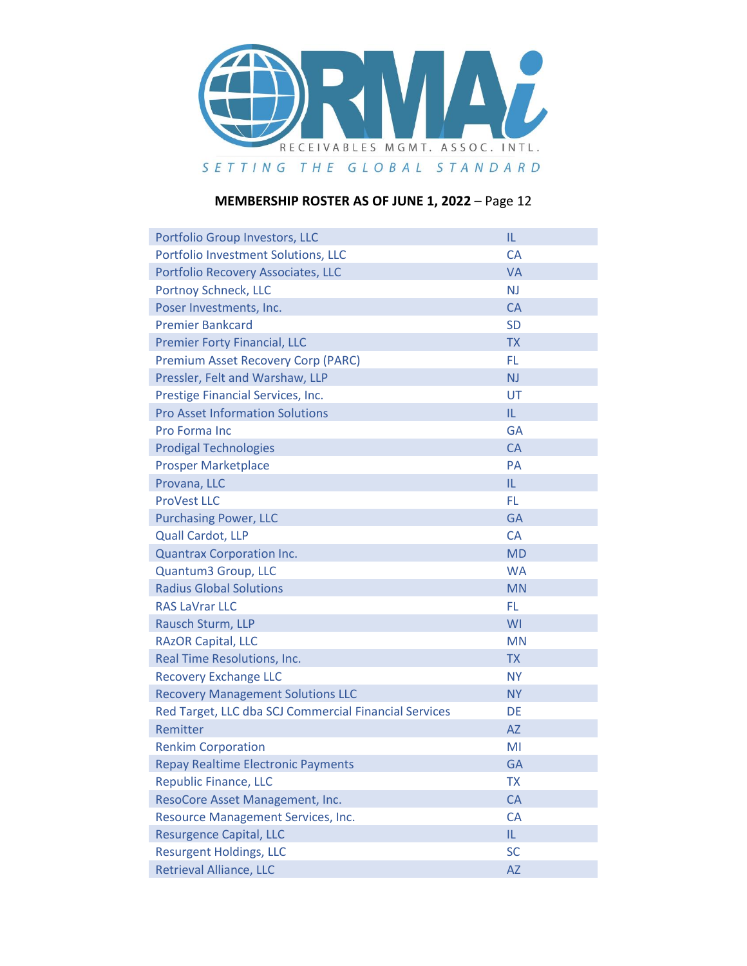

| Portfolio Group Investors, LLC                        | IL        |
|-------------------------------------------------------|-----------|
| Portfolio Investment Solutions, LLC                   | <b>CA</b> |
| Portfolio Recovery Associates, LLC                    | <b>VA</b> |
| Portnoy Schneck, LLC                                  | <b>NJ</b> |
| Poser Investments, Inc.                               | <b>CA</b> |
| <b>Premier Bankcard</b>                               | <b>SD</b> |
| <b>Premier Forty Financial, LLC</b>                   | <b>TX</b> |
| <b>Premium Asset Recovery Corp (PARC)</b>             | FL.       |
| Pressler, Felt and Warshaw, LLP                       | <b>NJ</b> |
| Prestige Financial Services, Inc.                     | UT        |
| <b>Pro Asset Information Solutions</b>                | IL.       |
| Pro Forma Inc                                         | <b>GA</b> |
| <b>Prodigal Technologies</b>                          | <b>CA</b> |
| <b>Prosper Marketplace</b>                            | <b>PA</b> |
| Provana, LLC                                          | IL.       |
| <b>ProVest LLC</b>                                    | <b>FL</b> |
| <b>Purchasing Power, LLC</b>                          | <b>GA</b> |
| <b>Quall Cardot, LLP</b>                              | <b>CA</b> |
| <b>Quantrax Corporation Inc.</b>                      | <b>MD</b> |
| Quantum3 Group, LLC                                   | <b>WA</b> |
| <b>Radius Global Solutions</b>                        | <b>MN</b> |
| <b>RAS LaVrar LLC</b>                                 | FL.       |
| Rausch Sturm, LLP                                     | WI        |
| <b>RAZOR Capital, LLC</b>                             | <b>MN</b> |
| Real Time Resolutions, Inc.                           | <b>TX</b> |
| <b>Recovery Exchange LLC</b>                          | <b>NY</b> |
| <b>Recovery Management Solutions LLC</b>              | <b>NY</b> |
| Red Target, LLC dba SCJ Commercial Financial Services | DE        |
| Remitter                                              | <b>AZ</b> |
| <b>Renkim Corporation</b>                             | MI        |
| <b>Repay Realtime Electronic Payments</b>             | <b>GA</b> |
| <b>Republic Finance, LLC</b>                          | <b>TX</b> |
| ResoCore Asset Management, Inc.                       | CA        |
| Resource Management Services, Inc.                    | CA        |
| <b>Resurgence Capital, LLC</b>                        | IL.       |
| <b>Resurgent Holdings, LLC</b>                        | <b>SC</b> |
| Retrieval Alliance, LLC                               | <b>AZ</b> |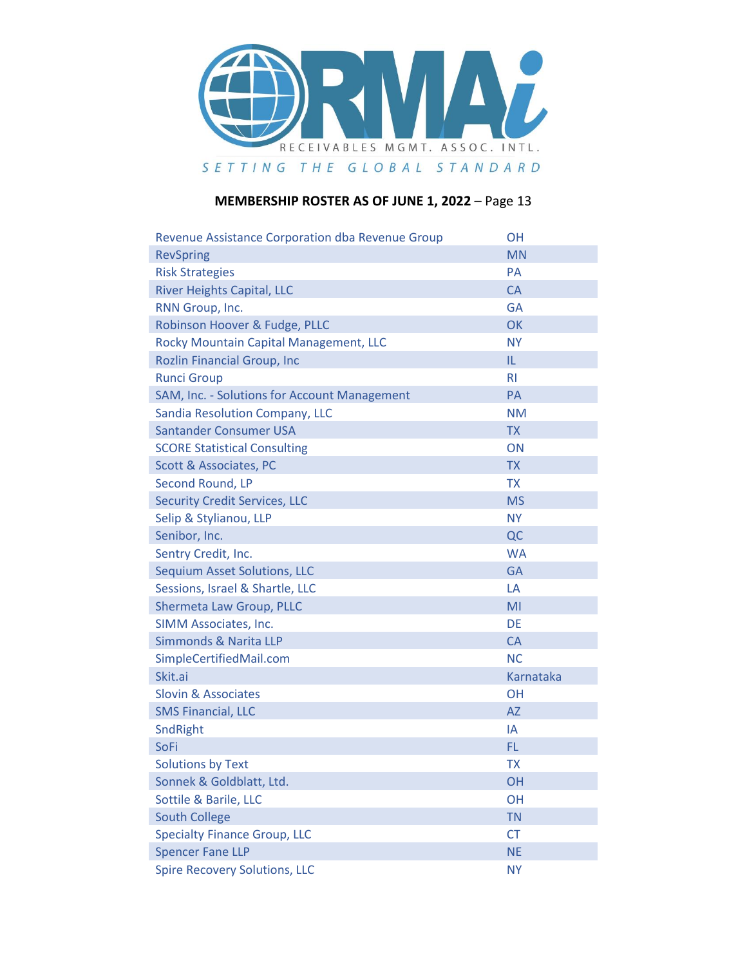

| Revenue Assistance Corporation dba Revenue Group | <b>OH</b>      |
|--------------------------------------------------|----------------|
| <b>RevSpring</b>                                 | <b>MN</b>      |
| <b>Risk Strategies</b>                           | <b>PA</b>      |
| <b>River Heights Capital, LLC</b>                | <b>CA</b>      |
| RNN Group, Inc.                                  | <b>GA</b>      |
| Robinson Hoover & Fudge, PLLC                    | <b>OK</b>      |
| Rocky Mountain Capital Management, LLC           | <b>NY</b>      |
| <b>Rozlin Financial Group, Inc</b>               | IL.            |
| <b>Runci Group</b>                               | R <sub>l</sub> |
| SAM, Inc. - Solutions for Account Management     | PA             |
| Sandia Resolution Company, LLC                   | <b>NM</b>      |
| Santander Consumer USA                           | <b>TX</b>      |
| <b>SCORE Statistical Consulting</b>              | ON             |
| <b>Scott &amp; Associates, PC</b>                | <b>TX</b>      |
| Second Round, LP                                 | <b>TX</b>      |
| <b>Security Credit Services, LLC</b>             | <b>MS</b>      |
| Selip & Stylianou, LLP                           | <b>NY</b>      |
| Senibor, Inc.                                    | QC             |
| Sentry Credit, Inc.                              | <b>WA</b>      |
| <b>Sequium Asset Solutions, LLC</b>              | <b>GA</b>      |
| Sessions, Israel & Shartle, LLC                  | LA             |
| Shermeta Law Group, PLLC                         | MI             |
| SIMM Associates, Inc.                            | DE             |
| Simmonds & Narita LLP                            | <b>CA</b>      |
| SimpleCertifiedMail.com                          | <b>NC</b>      |
| Skit.ai                                          | Karnataka      |
| <b>Slovin &amp; Associates</b>                   | <b>OH</b>      |
| <b>SMS Financial, LLC</b>                        | <b>AZ</b>      |
| SndRight                                         | IA             |
| <b>SoFi</b>                                      | FL.            |
| <b>Solutions by Text</b>                         | <b>TX</b>      |
| Sonnek & Goldblatt, Ltd.                         | OH             |
| Sottile & Barile, LLC                            | OH             |
| <b>South College</b>                             | <b>TN</b>      |
| <b>Specialty Finance Group, LLC</b>              | <b>CT</b>      |
| <b>Spencer Fane LLP</b>                          | <b>NE</b>      |
| <b>Spire Recovery Solutions, LLC</b>             | <b>NY</b>      |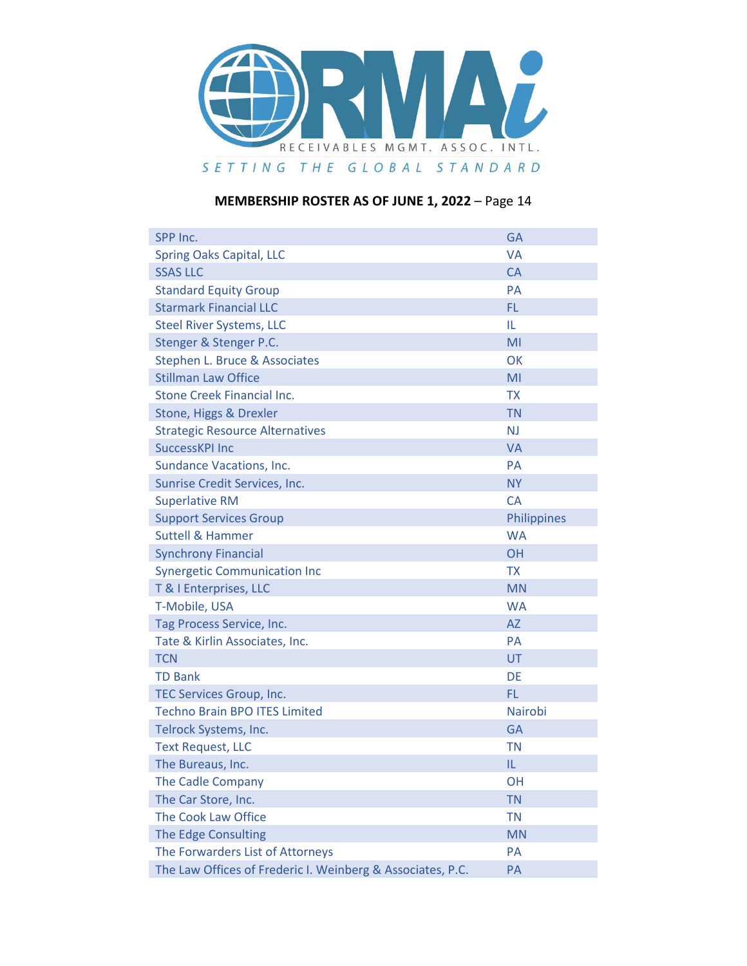

| SPP Inc.                                                   | <b>GA</b>   |
|------------------------------------------------------------|-------------|
| <b>Spring Oaks Capital, LLC</b>                            | <b>VA</b>   |
| <b>SSAS LLC</b>                                            | <b>CA</b>   |
| <b>Standard Equity Group</b>                               | <b>PA</b>   |
| <b>Starmark Financial LLC</b>                              | FL.         |
| <b>Steel River Systems, LLC</b>                            | IL.         |
| Stenger & Stenger P.C.                                     | MI          |
| Stephen L. Bruce & Associates                              | OK          |
| <b>Stillman Law Office</b>                                 | MI          |
| Stone Creek Financial Inc.                                 | <b>TX</b>   |
| Stone, Higgs & Drexler                                     | <b>TN</b>   |
| <b>Strategic Resource Alternatives</b>                     | <b>NJ</b>   |
| <b>SuccessKPI Inc</b>                                      | <b>VA</b>   |
| <b>Sundance Vacations, Inc.</b>                            | <b>PA</b>   |
| Sunrise Credit Services, Inc.                              | <b>NY</b>   |
| <b>Superlative RM</b>                                      | <b>CA</b>   |
| <b>Support Services Group</b>                              | Philippines |
| <b>Suttell &amp; Hammer</b>                                | <b>WA</b>   |
| <b>Synchrony Financial</b>                                 | OH          |
| <b>Synergetic Communication Inc</b>                        | <b>TX</b>   |
| T & I Enterprises, LLC                                     | <b>MN</b>   |
| T-Mobile, USA                                              | <b>WA</b>   |
| Tag Process Service, Inc.                                  | <b>AZ</b>   |
| Tate & Kirlin Associates, Inc.                             | <b>PA</b>   |
| <b>TCN</b>                                                 | UT          |
| <b>TD Bank</b>                                             | <b>DE</b>   |
| <b>TEC Services Group, Inc.</b>                            | <b>FL</b>   |
| <b>Techno Brain BPO ITES Limited</b>                       | Nairobi     |
| Telrock Systems, Inc.                                      | <b>GA</b>   |
| <b>Text Request, LLC</b>                                   | <b>TN</b>   |
| The Bureaus, Inc.                                          | IL          |
| <b>The Cadle Company</b>                                   | OH          |
| The Car Store, Inc.                                        | <b>TN</b>   |
| The Cook Law Office                                        | <b>TN</b>   |
| The Edge Consulting                                        | <b>MN</b>   |
| The Forwarders List of Attorneys                           | PA          |
| The Law Offices of Frederic I. Weinberg & Associates, P.C. | PA          |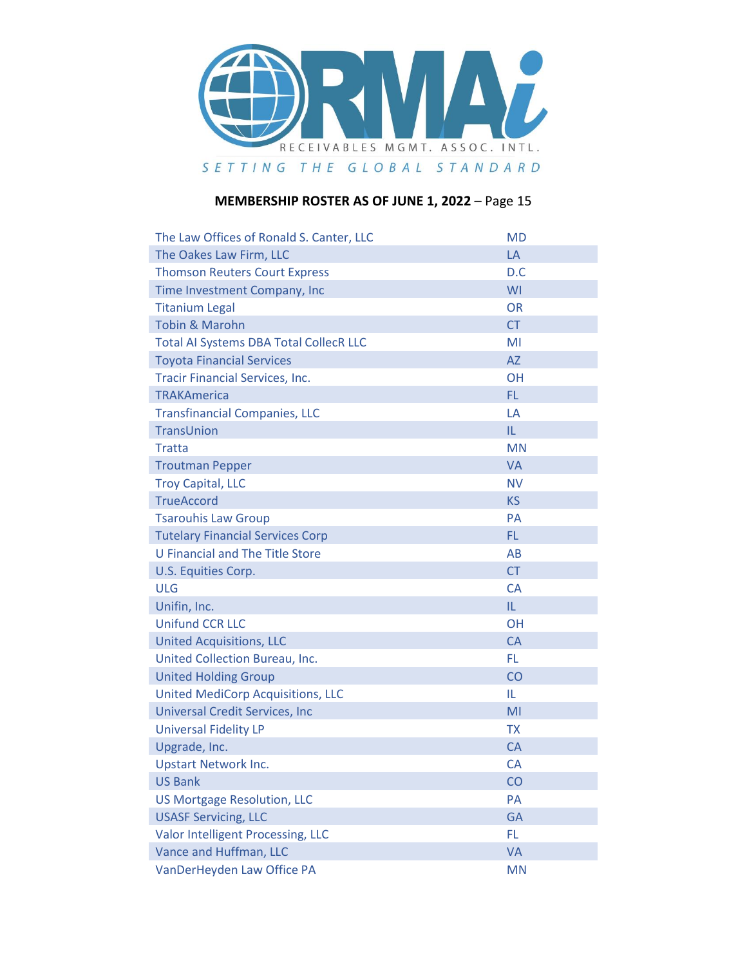

| The Law Offices of Ronald S. Canter, LLC      | <b>MD</b> |
|-----------------------------------------------|-----------|
| The Oakes Law Firm, LLC                       | LA        |
| <b>Thomson Reuters Court Express</b>          | D.C       |
| Time Investment Company, Inc                  | WI        |
| <b>Titanium Legal</b>                         | <b>OR</b> |
| <b>Tobin &amp; Marohn</b>                     | <b>CT</b> |
| <b>Total AI Systems DBA Total CollecR LLC</b> | MI        |
| <b>Toyota Financial Services</b>              | <b>AZ</b> |
| <b>Tracir Financial Services, Inc.</b>        | <b>OH</b> |
| <b>TRAKAmerica</b>                            | FL.       |
| <b>Transfinancial Companies, LLC</b>          | LA        |
| TransUnion                                    | IL.       |
| Tratta                                        | <b>MN</b> |
| <b>Troutman Pepper</b>                        | <b>VA</b> |
| <b>Troy Capital, LLC</b>                      | <b>NV</b> |
| <b>TrueAccord</b>                             | <b>KS</b> |
| <b>Tsarouhis Law Group</b>                    | <b>PA</b> |
| <b>Tutelary Financial Services Corp</b>       | FL.       |
| U Financial and The Title Store               | AB        |
| U.S. Equities Corp.                           | <b>CT</b> |
| <b>ULG</b>                                    | <b>CA</b> |
| Unifin, Inc.                                  | IL.       |
| <b>Unifund CCR LLC</b>                        | <b>OH</b> |
| <b>United Acquisitions, LLC</b>               | CA        |
| United Collection Bureau, Inc.                | FL.       |
| <b>United Holding Group</b>                   | CO        |
| <b>United MediCorp Acquisitions, LLC</b>      | IL        |
| <b>Universal Credit Services, Inc.</b>        | MI        |
| <b>Universal Fidelity LP</b>                  | <b>TX</b> |
| Upgrade, Inc.                                 | <b>CA</b> |
| <b>Upstart Network Inc.</b>                   | <b>CA</b> |
| <b>US Bank</b>                                | CO        |
| <b>US Mortgage Resolution, LLC</b>            | PA        |
| <b>USASF Servicing, LLC</b>                   | GA        |
| Valor Intelligent Processing, LLC             | FL.       |
| Vance and Huffman, LLC                        | <b>VA</b> |
| VanDerHeyden Law Office PA                    | <b>MN</b> |